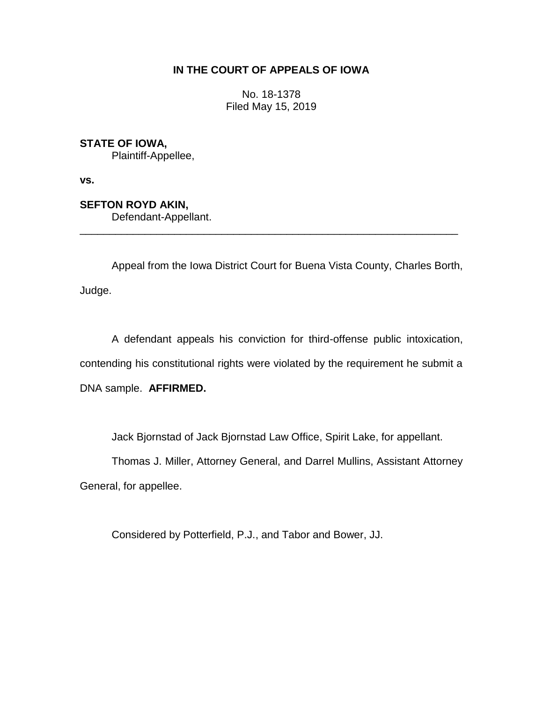## **IN THE COURT OF APPEALS OF IOWA**

No. 18-1378 Filed May 15, 2019

**STATE OF IOWA,**

Plaintiff-Appellee,

**vs.**

**SEFTON ROYD AKIN,**

Defendant-Appellant.

Appeal from the Iowa District Court for Buena Vista County, Charles Borth, Judge.

\_\_\_\_\_\_\_\_\_\_\_\_\_\_\_\_\_\_\_\_\_\_\_\_\_\_\_\_\_\_\_\_\_\_\_\_\_\_\_\_\_\_\_\_\_\_\_\_\_\_\_\_\_\_\_\_\_\_\_\_\_\_\_\_

A defendant appeals his conviction for third-offense public intoxication, contending his constitutional rights were violated by the requirement he submit a DNA sample. **AFFIRMED.**

Jack Bjornstad of Jack Bjornstad Law Office, Spirit Lake, for appellant.

Thomas J. Miller, Attorney General, and Darrel Mullins, Assistant Attorney General, for appellee.

Considered by Potterfield, P.J., and Tabor and Bower, JJ.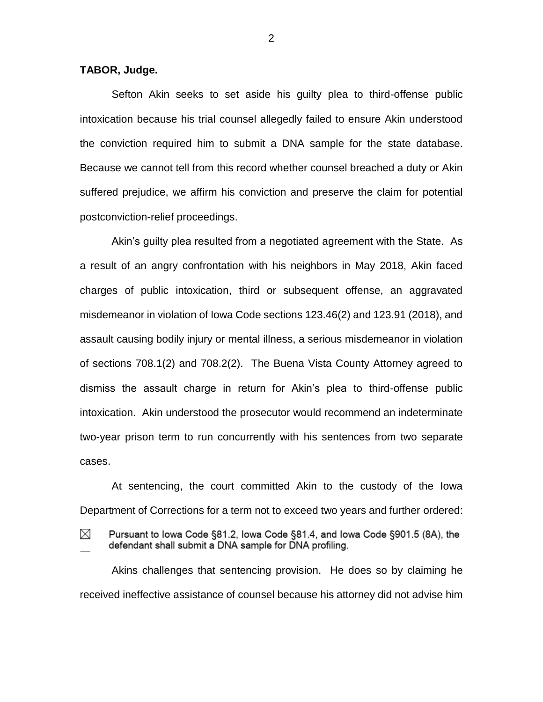## **TABOR, Judge.**

Sefton Akin seeks to set aside his guilty plea to third-offense public intoxication because his trial counsel allegedly failed to ensure Akin understood the conviction required him to submit a DNA sample for the state database. Because we cannot tell from this record whether counsel breached a duty or Akin suffered prejudice, we affirm his conviction and preserve the claim for potential postconviction-relief proceedings.

Akin's guilty plea resulted from a negotiated agreement with the State. As a result of an angry confrontation with his neighbors in May 2018, Akin faced charges of public intoxication, third or subsequent offense, an aggravated misdemeanor in violation of Iowa Code sections 123.46(2) and 123.91 (2018), and assault causing bodily injury or mental illness, a serious misdemeanor in violation of sections 708.1(2) and 708.2(2). The Buena Vista County Attorney agreed to dismiss the assault charge in return for Akin's plea to third-offense public intoxication. Akin understood the prosecutor would recommend an indeterminate two-year prison term to run concurrently with his sentences from two separate cases.

At sentencing, the court committed Akin to the custody of the Iowa Department of Corrections for a term not to exceed two years and further ordered:

M

Pursuant to Iowa Code §81.2, Iowa Code §81.4, and Iowa Code §901.5 (8A), the defendant shall submit a DNA sample for DNA profiling.

Akins challenges that sentencing provision. He does so by claiming he received ineffective assistance of counsel because his attorney did not advise him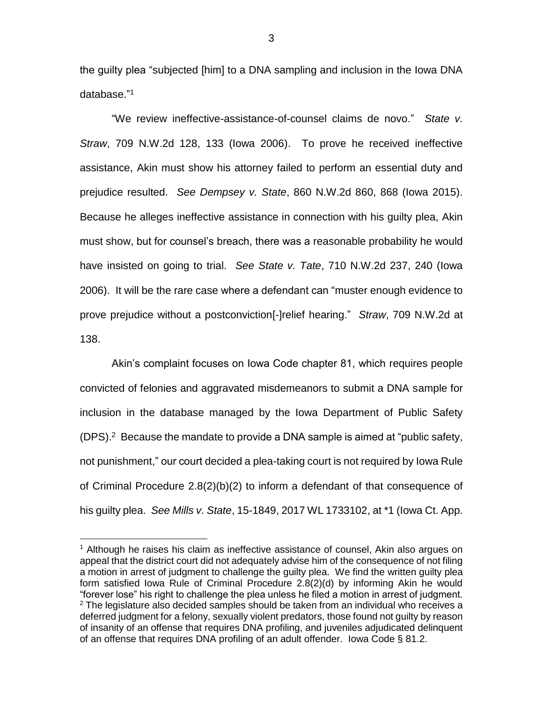the guilty plea "subjected [him] to a DNA sampling and inclusion in the Iowa DNA database." 1

"We review ineffective-assistance-of-counsel claims de novo." *State v. Straw*, 709 N.W.2d 128, 133 (Iowa 2006). To prove he received ineffective assistance, Akin must show his attorney failed to perform an essential duty and prejudice resulted. *See Dempsey v. State*, 860 N.W.2d 860, 868 (Iowa 2015). Because he alleges ineffective assistance in connection with his guilty plea, Akin must show, but for counsel's breach, there was a reasonable probability he would have insisted on going to trial. *See State v. Tate*, 710 N.W.2d 237, 240 (Iowa 2006). It will be the rare case where a defendant can "muster enough evidence to prove prejudice without a postconviction[-]relief hearing." *Straw*, 709 N.W.2d at 138.

Akin's complaint focuses on Iowa Code chapter 81, which requires people convicted of felonies and aggravated misdemeanors to submit a DNA sample for inclusion in the database managed by the Iowa Department of Public Safety (DPS). 2 Because the mandate to provide a DNA sample is aimed at "public safety, not punishment," our court decided a plea-taking court is not required by Iowa Rule of Criminal Procedure 2.8(2)(b)(2) to inform a defendant of that consequence of his guilty plea. *See Mills v. State*, 15-1849, 2017 WL 1733102, at \*1 (Iowa Ct. App.

 $\overline{a}$ 

 $1$  Although he raises his claim as ineffective assistance of counsel, Akin also argues on appeal that the district court did not adequately advise him of the consequence of not filing a motion in arrest of judgment to challenge the guilty plea. We find the written guilty plea form satisfied Iowa Rule of Criminal Procedure 2.8(2)(d) by informing Akin he would "forever lose" his right to challenge the plea unless he filed a motion in arrest of judgment.  $2$  The legislature also decided samples should be taken from an individual who receives a deferred judgment for a felony, sexually violent predators, those found not guilty by reason of insanity of an offense that requires DNA profiling, and juveniles adjudicated delinquent of an offense that requires DNA profiling of an adult offender. Iowa Code § 81.2.